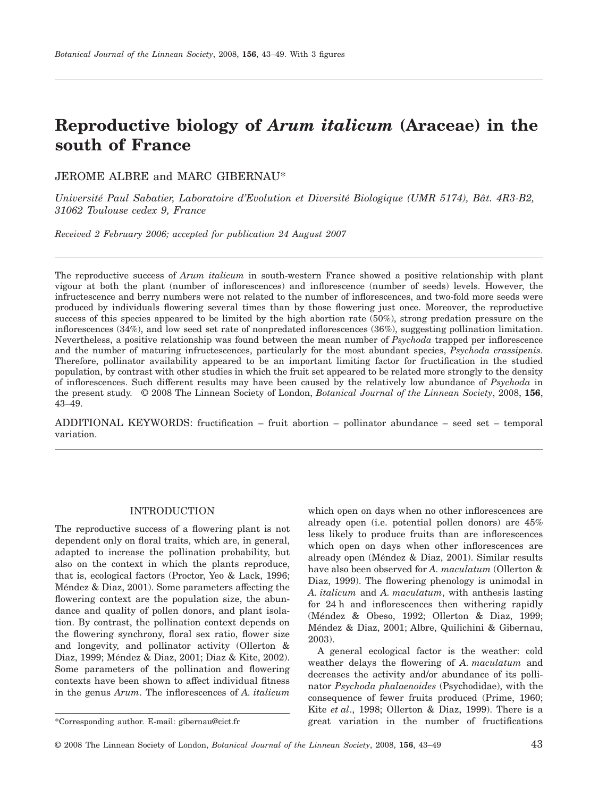# **Reproductive biology of** *Arum italicum* **(Araceae) in the south of France**

JEROME ALBRE and MARC GIBERNAU\*

*Université Paul Sabatier, Laboratoire d'Evolution et Diversité Biologique (UMR 5174), Bât. 4R3-B2, 31062 Toulouse cedex 9, France*

*Received 2 February 2006; accepted for publication 24 August 2007*

The reproductive success of *Arum italicum* in south-western France showed a positive relationship with plant vigour at both the plant (number of inflorescences) and inflorescence (number of seeds) levels. However, the infructescence and berry numbers were not related to the number of inflorescences, and two-fold more seeds were produced by individuals flowering several times than by those flowering just once. Moreover, the reproductive success of this species appeared to be limited by the high abortion rate (50%), strong predation pressure on the inflorescences (34%), and low seed set rate of nonpredated inflorescences (36%), suggesting pollination limitation. Nevertheless, a positive relationship was found between the mean number of *Psychoda* trapped per inflorescence and the number of maturing infructescences, particularly for the most abundant species, *Psychoda crassipenis*. Therefore, pollinator availability appeared to be an important limiting factor for fructification in the studied population, by contrast with other studies in which the fruit set appeared to be related more strongly to the density of inflorescences. Such different results may have been caused by the relatively low abundance of *Psychoda* in the present study. © 2008 The Linnean Society of London, *Botanical Journal of the Linnean Society*, 2008, **156**, 43–49.

ADDITIONAL KEYWORDS: fructification – fruit abortion – pollinator abundance – seed set – temporal variation.

## INTRODUCTION

The reproductive success of a flowering plant is not dependent only on floral traits, which are, in general, adapted to increase the pollination probability, but also on the context in which the plants reproduce, that is, ecological factors (Proctor, Yeo & Lack, 1996; Méndez & Diaz, 2001). Some parameters affecting the flowering context are the population size, the abundance and quality of pollen donors, and plant isolation. By contrast, the pollination context depends on the flowering synchrony, floral sex ratio, flower size and longevity, and pollinator activity (Ollerton & Diaz, 1999; Méndez & Diaz, 2001; Diaz & Kite, 2002). Some parameters of the pollination and flowering contexts have been shown to affect individual fitness in the genus *Arum*. The inflorescences of *A. italicum* which open on days when no other inflorescences are already open (i.e. potential pollen donors) are 45% less likely to produce fruits than are inflorescences which open on days when other inflorescences are already open (Méndez & Diaz, 2001). Similar results have also been observed for *A. maculatum* (Ollerton & Diaz, 1999). The flowering phenology is unimodal in *A. italicum* and *A. maculatum*, with anthesis lasting for 24 h and inflorescences then withering rapidly (Méndez & Obeso, 1992; Ollerton & Diaz, 1999; Méndez & Diaz, 2001; Albre, Quilichini & Gibernau, 2003).

A general ecological factor is the weather: cold weather delays the flowering of *A. maculatum* and decreases the activity and/or abundance of its pollinator *Psychoda phalaenoides* (Psychodidae), with the consequence of fewer fruits produced (Prime, 1960; Kite *et al*., 1998; Ollerton & Diaz, 1999). There is a \*Corresponding author. E-mail: [gibernau@cict.fr](mailto:gibernau@cict.fr) great variation in the number of fructifications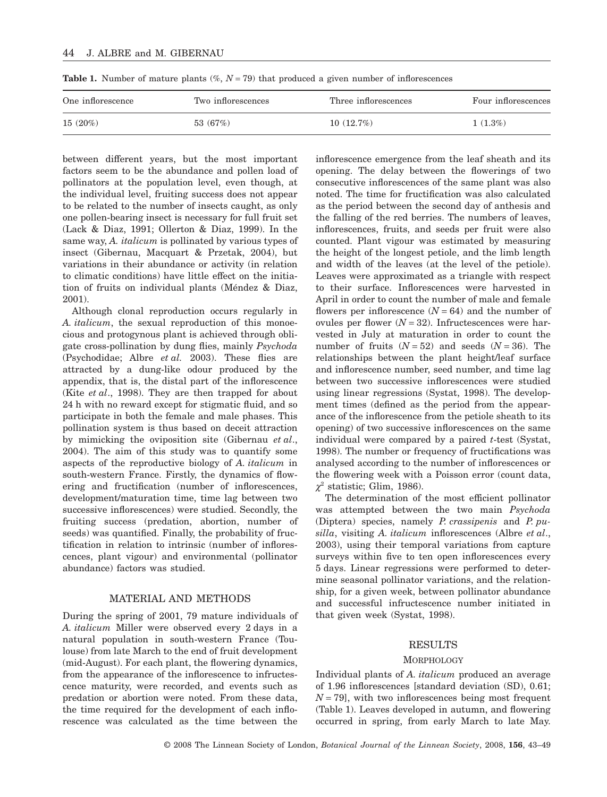| One inflorescence | Two inflorescences | Three inflorescences | Four inflorescences |
|-------------------|--------------------|----------------------|---------------------|
| 15(20%)           | 53 (67%)           | 10(12.7%)            | $1(1.3\%)$          |

**Table 1.** Number of mature plants  $(\%, N = 79)$  that produced a given number of inflorescences

between different years, but the most important factors seem to be the abundance and pollen load of pollinators at the population level, even though, at the individual level, fruiting success does not appear to be related to the number of insects caught, as only one pollen-bearing insect is necessary for full fruit set (Lack & Diaz, 1991; Ollerton & Diaz, 1999). In the same way, *A. italicum* is pollinated by various types of insect (Gibernau, Macquart & Przetak, 2004), but variations in their abundance or activity (in relation to climatic conditions) have little effect on the initiation of fruits on individual plants (Méndez & Diaz, 2001).

Although clonal reproduction occurs regularly in *A. italicum*, the sexual reproduction of this monoecious and protogynous plant is achieved through obligate cross-pollination by dung flies, mainly *Psychoda* (Psychodidae; Albre *et al.* 2003). These flies are attracted by a dung-like odour produced by the appendix, that is, the distal part of the inflorescence (Kite *et al*., 1998). They are then trapped for about 24 h with no reward except for stigmatic fluid, and so participate in both the female and male phases. This pollination system is thus based on deceit attraction by mimicking the oviposition site (Gibernau *et al*., 2004). The aim of this study was to quantify some aspects of the reproductive biology of *A. italicum* in south-western France. Firstly, the dynamics of flowering and fructification (number of inflorescences, development/maturation time, time lag between two successive inflorescences) were studied. Secondly, the fruiting success (predation, abortion, number of seeds) was quantified. Finally, the probability of fructification in relation to intrinsic (number of inflorescences, plant vigour) and environmental (pollinator abundance) factors was studied.

# MATERIAL AND METHODS

During the spring of 2001, 79 mature individuals of *A. italicum* Miller were observed every 2 days in a natural population in south-western France (Toulouse) from late March to the end of fruit development (mid-August). For each plant, the flowering dynamics, from the appearance of the inflorescence to infructescence maturity, were recorded, and events such as predation or abortion were noted. From these data, the time required for the development of each inflorescence was calculated as the time between the

inflorescence emergence from the leaf sheath and its opening. The delay between the flowerings of two consecutive inflorescences of the same plant was also noted. The time for fructification was also calculated as the period between the second day of anthesis and the falling of the red berries. The numbers of leaves, inflorescences, fruits, and seeds per fruit were also counted. Plant vigour was estimated by measuring the height of the longest petiole, and the limb length and width of the leaves (at the level of the petiole). Leaves were approximated as a triangle with respect to their surface. Inflorescences were harvested in April in order to count the number of male and female flowers per inflorescence  $(N = 64)$  and the number of ovules per flower  $(N = 32)$ . Infructescences were harvested in July at maturation in order to count the number of fruits  $(N = 52)$  and seeds  $(N = 36)$ . The relationships between the plant height/leaf surface and inflorescence number, seed number, and time lag between two successive inflorescences were studied using linear regressions (Systat, 1998). The development times (defined as the period from the appearance of the inflorescence from the petiole sheath to its opening) of two successive inflorescences on the same individual were compared by a paired *t*-test (Systat, 1998). The number or frequency of fructifications was analysed according to the number of inflorescences or the flowering week with a Poisson error (count data,  $\chi^2$  statistic; Glim, 1986).

The determination of the most efficient pollinator was attempted between the two main *Psychoda* (Diptera) species, namely *P. crassipenis* and *P. pusilla*, visiting *A. italicum* inflorescences (Albre *et al*., 2003), using their temporal variations from capture surveys within five to ten open inflorescences every 5 days. Linear regressions were performed to determine seasonal pollinator variations, and the relationship, for a given week, between pollinator abundance and successful infructescence number initiated in that given week (Systat, 1998).

### RESULTS

#### **MORPHOLOGY**

Individual plants of *A. italicum* produced an average of 1.96 inflorescences [standard deviation (SD), 0.61;  $N = 79$ , with two inflorescences being most frequent (Table 1). Leaves developed in autumn, and flowering occurred in spring, from early March to late May.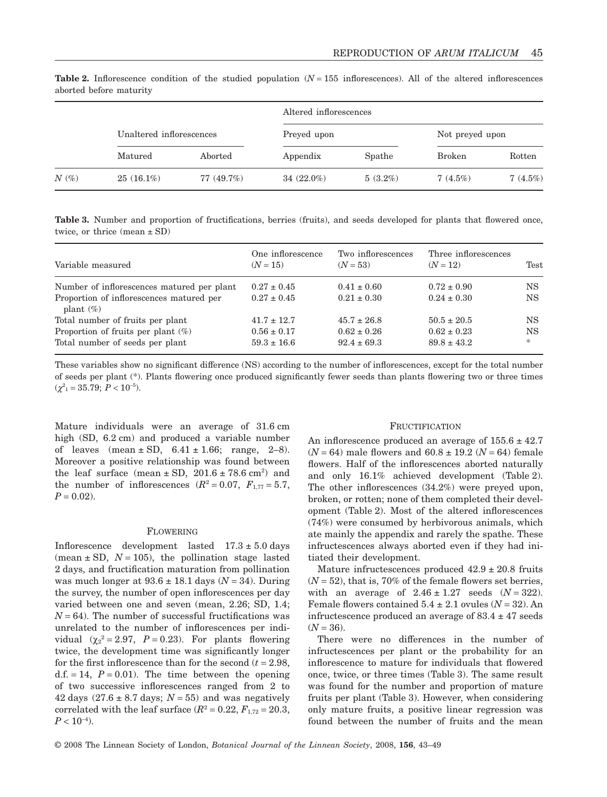|         |                          |            | Altered inflorescences |            |                 |         |  |
|---------|--------------------------|------------|------------------------|------------|-----------------|---------|--|
|         | Unaltered inflorescences |            | Preyed upon            |            | Not preyed upon |         |  |
|         | Matured                  | Aborted    | Appendix               | Spathe     | <b>Broken</b>   | Rotten  |  |
| $N(\%)$ | $25(16.1\%)$             | 77 (49.7%) | $34(22.0\%)$           | $5(3.2\%)$ | 7(4.5%)         | 7(4.5%) |  |

**Table 2.** Inflorescence condition of the studied population  $(N = 155$  inflorescences). All of the altered inflorescences aborted before maturity

**Table 3.** Number and proportion of fructifications, berries (fruits), and seeds developed for plants that flowered once, twice, or thrice (mean  $\pm$  SD)

| Variable measured                                        | One inflorescence<br>$(N = 15)$ | Two inflorescences<br>$(N = 53)$ | Three inflorescences<br>$(N = 12)$ | Test      |
|----------------------------------------------------------|---------------------------------|----------------------------------|------------------------------------|-----------|
| Number of inflorescences matured per plant               | $0.27 \pm 0.45$                 | $0.41 \pm 0.60$                  | $0.72 \pm 0.90$                    | NS.       |
| Proportion of inflorescences matured per<br>plant $(\%)$ | $0.27 \pm 0.45$                 | $0.21 \pm 0.30$                  | $0.24 \pm 0.30$                    | NS.       |
| Total number of fruits per plant                         | $41.7 \pm 12.7$                 | $45.7 \pm 26.8$                  | $50.5 \pm 20.5$                    | NS.       |
| Proportion of fruits per plant $(\%)$                    | $0.56 \pm 0.17$                 | $0.62 \pm 0.26$                  | $0.62 \pm 0.23$                    | <b>NS</b> |
| Total number of seeds per plant                          | $59.3 \pm 16.6$                 | $92.4 \pm 69.3$                  | $89.8 \pm 43.2$                    | $\ast$    |

These variables show no significant difference (NS) according to the number of inflorescences, except for the total number of seeds per plant (\*). Plants flowering once produced significantly fewer seeds than plants flowering two or three times  $(\chi^2_{1} = 35.79; P < 10^{-5}).$ 

Mature individuals were an average of 31.6 cm high (SD, 6.2 cm) and produced a variable number of leaves  $(\text{mean} \pm SD, 6.41 \pm 1.66; \text{range}, 2-8)$ . Moreover a positive relationship was found between the leaf surface (mean  $\pm$  SD, 201.6  $\pm$  78.6 cm<sup>2</sup>) and the number of inflorescences  $(R^2 = 0.07, F_{1,77} = 5.7,$  $P = 0.02$ .

### FLOWERING

Inflorescence development lasted  $17.3 \pm 5.0$  days (mean  $\pm$  SD,  $N = 105$ ), the pollination stage lasted 2 days, and fructification maturation from pollination was much longer at  $93.6 \pm 18.1$  days ( $N = 34$ ). During the survey, the number of open inflorescences per day varied between one and seven (mean, 2.26; SD, 1.4;  $N = 64$ ). The number of successful fructifications was unrelated to the number of inflorescences per individual  $(\chi_2^2 = 2.97, P = 0.23)$ . For plants flowering twice, the development time was significantly longer for the first inflorescence than for the second  $(t = 2.98,$ d.f.  $= 14$ ,  $P = 0.01$ ). The time between the opening of two successive inflorescences ranged from 2 to 42 days  $(27.6 \pm 8.7 \text{ days}; N = 55)$  and was negatively correlated with the leaf surface  $(R^2 = 0.22, F_{1,72} = 20.3,$  $P < 10^{-4}$ ).

#### FRUCTIFICATION

An inflorescence produced an average of  $155.6 \pm 42.7$  $(N = 64)$  male flowers and  $60.8 \pm 19.2$   $(N = 64)$  female flowers. Half of the inflorescences aborted naturally and only 16.1% achieved development (Table 2). The other inflorescences (34.2%) were preyed upon, broken, or rotten; none of them completed their development (Table 2). Most of the altered inflorescences (74%) were consumed by herbivorous animals, which ate mainly the appendix and rarely the spathe. These infructescences always aborted even if they had initiated their development.

Mature infructescences produced  $42.9 \pm 20.8$  fruits  $(N = 52)$ , that is, 70% of the female flowers set berries, with an average of  $2.46 \pm 1.27$  seeds  $(N = 322)$ . Female flowers contained  $5.4 \pm 2.1$  ovules  $(N = 32)$ . An infructescence produced an average of  $83.4 \pm 47$  seeds  $(N = 36)$ .

There were no differences in the number of infructescences per plant or the probability for an inflorescence to mature for individuals that flowered once, twice, or three times (Table 3). The same result was found for the number and proportion of mature fruits per plant (Table 3). However, when considering only mature fruits, a positive linear regression was found between the number of fruits and the mean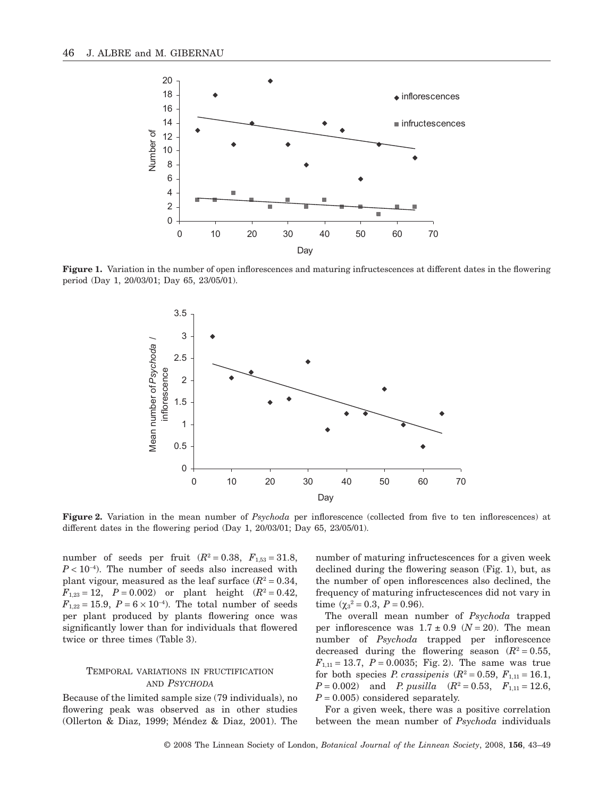

Figure 1. Variation in the number of open inflorescences and maturing infructescences at different dates in the flowering period (Day 1, 20/03/01; Day 65, 23/05/01).



**Figure 2.** Variation in the mean number of *Psychoda* per inflorescence (collected from five to ten inflorescences) at different dates in the flowering period (Day 1, 20/03/01; Day 65, 23/05/01).

number of seeds per fruit  $(R^2 = 0.38, F_{1,53} = 31.8,$  $P < 10^{-4}$ ). The number of seeds also increased with plant vigour, measured as the leaf surface  $(R^2 = 0.34,$  $F_{1,23} = 12$ ,  $P = 0.002$ ) or plant height  $(R^2 = 0.42)$ ,  $F_{1,22} = 15.9, P = 6 \times 10^{-4}$ . The total number of seeds per plant produced by plants flowering once was significantly lower than for individuals that flowered twice or three times (Table 3).

# TEMPORAL VARIATIONS IN FRUCTIFICATION AND *PSYCHODA*

Because of the limited sample size (79 individuals), no flowering peak was observed as in other studies (Ollerton & Diaz, 1999; Méndez & Diaz, 2001). The number of maturing infructescences for a given week declined during the flowering season (Fig. 1), but, as the number of open inflorescences also declined, the frequency of maturing infructescences did not vary in time  $(\chi_3^2 = 0.3, P = 0.96)$ .

The overall mean number of *Psychoda* trapped per inflorescence was  $1.7 \pm 0.9$  ( $N = 20$ ). The mean number of *Psychoda* trapped per inflorescence decreased during the flowering season  $(R^2 = 0.55,$  $F_{1,11} = 13.7, P = 0.0035$ ; Fig. 2). The same was true for both species *P. crassipenis*  $(R^2 = 0.59, F_{1,11} = 16.1,$  $P = 0.002$ ) and *P. pusilla*  $(R^2 = 0.53, F_{1,11} = 12.6,$  $P = 0.005$  considered separately.

For a given week, there was a positive correlation between the mean number of *Psychoda* individuals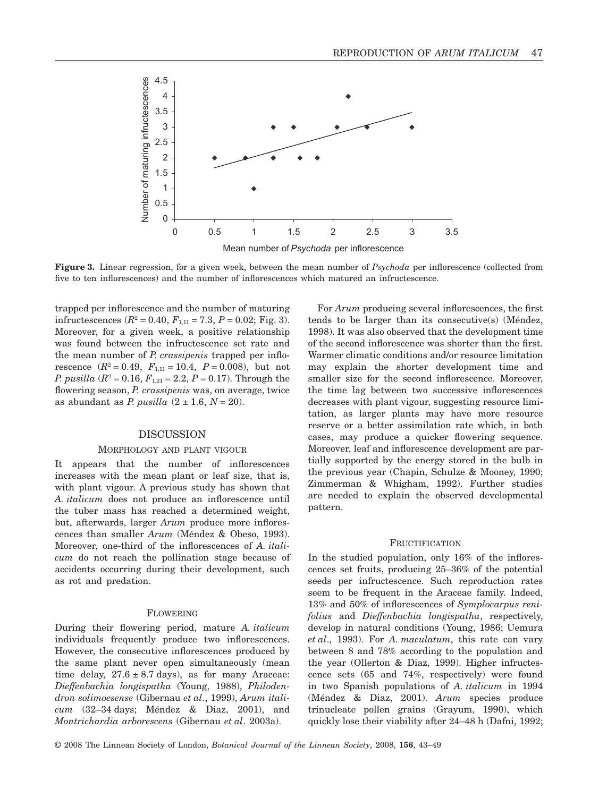

**Figure 3.** Linear regression, for a given week, between the mean number of *Psychoda* per inflorescence (collected from five to ten inflorescences) and the number of inflorescences which matured an infructescence.

trapped per inflorescence and the number of maturing infructescences  $(R^2 = 0.40, F_{1,11} = 7.3, P = 0.02;$  Fig. 3). Moreover, for a given week, a positive relationship was found between the infructescence set rate and the mean number of *P. crassipenis* trapped per inflorescence  $(R^2 = 0.49, F_{1,11} = 10.4, P = 0.008)$ , but not *P. pusilla*  $(R^2 = 0.16, F_{1,21} = 2.2, P = 0.17)$ . Through the flowering season, *P. crassipenis* was, on average, twice as abundant as *P. pusilla*  $(2 \pm 1.6, N = 20)$ .

# DISCUSSION

### MORPHOLOGY AND PLANT VIGOUR

It appears that the number of inflorescences increases with the mean plant or leaf size, that is, with plant vigour. A previous study has shown that *A. italicum* does not produce an inflorescence until the tuber mass has reached a determined weight, but, afterwards, larger *Arum* produce more inflorescences than smaller *Arum* (Méndez & Obeso, 1993). Moreover, one-third of the inflorescences of *A. italicum* do not reach the pollination stage because of accidents occurring during their development, such as rot and predation.

### FLOWERING

During their flowering period, mature *A. italicum* individuals frequently produce two inflorescences. However, the consecutive inflorescences produced by the same plant never open simultaneously (mean time delay,  $27.6 \pm 8.7$  days), as for many Araceae: *Dieffenbachia longispatha* (Young, 1988), *Philodendron solimoesense* (Gibernau *et al*., 1999), *Arum italicum* (32–34 days; Méndez & Diaz, 2001), and *Montrichardia arborescens* (Gibernau *et al*. 2003a).

For *Arum* producing several inflorescences, the first tends to be larger than its consecutive(s) (Méndez, 1998). It was also observed that the development time of the second inflorescence was shorter than the first. Warmer climatic conditions and/or resource limitation may explain the shorter development time and smaller size for the second inflorescence. Moreover, the time lag between two successive inflorescences decreases with plant vigour, suggesting resource limitation, as larger plants may have more resource reserve or a better assimilation rate which, in both cases, may produce a quicker flowering sequence. Moreover, leaf and inflorescence development are partially supported by the energy stored in the bulb in the previous year (Chapin, Schulze & Mooney, 1990; Zimmerman & Whigham, 1992). Further studies are needed to explain the observed developmental pattern.

### FRUCTIFICATION

In the studied population, only 16% of the inflorescences set fruits, producing 25–36% of the potential seeds per infructescence. Such reproduction rates seem to be frequent in the Araceae family. Indeed, 13% and 50% of inflorescences of *Symplocarpus renifolius* and *Dieffenbachia longispatha*, respectively, develop in natural conditions (Young, 1986; Uemura *et al*., 1993). For *A. maculatum*, this rate can vary between 8 and 78% according to the population and the year (Ollerton & Diaz, 1999). Higher infructescence sets (65 and 74%, respectively) were found in two Spanish populations of *A. italicum* in 1994 (Méndez & Diaz, 2001). *Arum* species produce trinucleate pollen grains (Grayum, 1990), which quickly lose their viability after 24–48 h (Dafni, 1992;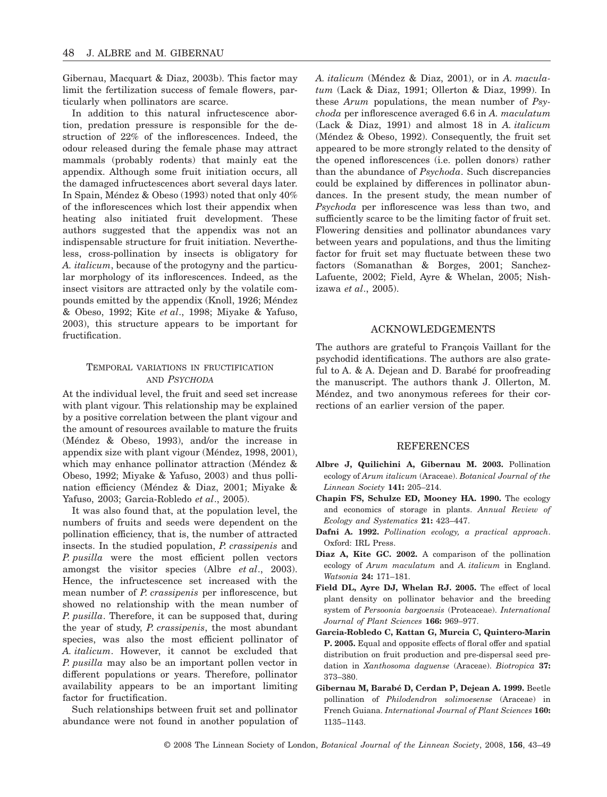Gibernau, Macquart & Diaz, 2003b). This factor may limit the fertilization success of female flowers, particularly when pollinators are scarce.

In addition to this natural infructescence abortion, predation pressure is responsible for the destruction of 22% of the inflorescences. Indeed, the odour released during the female phase may attract mammals (probably rodents) that mainly eat the appendix. Although some fruit initiation occurs, all the damaged infructescences abort several days later. In Spain, Méndez & Obeso (1993) noted that only 40% of the inflorescences which lost their appendix when heating also initiated fruit development. These authors suggested that the appendix was not an indispensable structure for fruit initiation. Nevertheless, cross-pollination by insects is obligatory for *A. italicum*, because of the protogyny and the particular morphology of its inflorescences. Indeed, as the insect visitors are attracted only by the volatile compounds emitted by the appendix (Knoll, 1926; Méndez & Obeso, 1992; Kite *et al*., 1998; Miyake & Yafuso, 2003), this structure appears to be important for fructification.

# TEMPORAL VARIATIONS IN FRUCTIFICATION AND *PSYCHODA*

At the individual level, the fruit and seed set increase with plant vigour. This relationship may be explained by a positive correlation between the plant vigour and the amount of resources available to mature the fruits (Méndez & Obeso, 1993), and/or the increase in appendix size with plant vigour (Méndez, 1998, 2001), which may enhance pollinator attraction (Méndez & Obeso, 1992; Miyake & Yafuso, 2003) and thus pollination efficiency (Méndez & Diaz, 2001; Miyake & Yafuso, 2003; Garcia-Robledo *et al*., 2005).

It was also found that, at the population level, the numbers of fruits and seeds were dependent on the pollination efficiency, that is, the number of attracted insects. In the studied population, *P. crassipenis* and *P. pusilla* were the most efficient pollen vectors amongst the visitor species (Albre *et al*., 2003). Hence, the infructescence set increased with the mean number of *P. crassipenis* per inflorescence, but showed no relationship with the mean number of *P. pusilla*. Therefore, it can be supposed that, during the year of study, *P. crassipenis*, the most abundant species, was also the most efficient pollinator of *A. italicum*. However, it cannot be excluded that *P. pusilla* may also be an important pollen vector in different populations or years. Therefore, pollinator availability appears to be an important limiting factor for fructification.

Such relationships between fruit set and pollinator abundance were not found in another population of *A. italicum* (Méndez & Diaz, 2001), or in *A. maculatum* (Lack & Diaz, 1991; Ollerton & Diaz, 1999). In these *Arum* populations, the mean number of *Psychoda* per inflorescence averaged 6.6 in *A. maculatum* (Lack & Diaz, 1991) and almost 18 in *A. italicum* (Méndez & Obeso, 1992). Consequently, the fruit set appeared to be more strongly related to the density of the opened inflorescences (i.e. pollen donors) rather than the abundance of *Psychoda*. Such discrepancies could be explained by differences in pollinator abundances. In the present study, the mean number of *Psychoda* per inflorescence was less than two, and sufficiently scarce to be the limiting factor of fruit set. Flowering densities and pollinator abundances vary between years and populations, and thus the limiting factor for fruit set may fluctuate between these two factors (Somanathan & Borges, 2001; Sanchez-Lafuente, 2002; Field, Ayre & Whelan, 2005; Nishizawa *et al*., 2005).

### ACKNOWLEDGEMENTS

The authors are grateful to François Vaillant for the psychodid identifications. The authors are also grateful to A. & A. Dejean and D. Barabé for proofreading the manuscript. The authors thank J. Ollerton, M. Méndez, and two anonymous referees for their corrections of an earlier version of the paper.

### REFERENCES

- **Albre J, Quilichini A, Gibernau M. 2003.** Pollination ecology of *Arum italicum* (Araceae). *Botanical Journal of the Linnean Society* **141:** 205–214.
- **Chapin FS, Schulze ED, Mooney HA. 1990.** The ecology and economics of storage in plants. *Annual Review of Ecology and Systematics* **21:** 423–447.
- **Dafni A. 1992.** *Pollination ecology, a practical approach*. Oxford: IRL Press.
- **Diaz A, Kite GC. 2002.** A comparison of the pollination ecology of *Arum maculatum* and *A. italicum* in England. *Watsonia* **24:** 171–181.
- **Field DL, Ayre DJ, Whelan RJ. 2005.** The effect of local plant density on pollinator behavior and the breeding system of *Persoonia bargoensis* (Proteaceae). *International Journal of Plant Sciences* **166:** 969–977.
- **Garcia-Robledo C, Kattan G, Murcia C, Quintero-Marin P. 2005.** Equal and opposite effects of floral offer and spatial distribution on fruit production and pre-dispersal seed predation in *Xanthosoma daguense* (Araceae). *Biotropica* **37:** 373–380.
- **Gibernau M, Barabé D, Cerdan P, Dejean A. 1999.** Beetle pollination of *Philodendron solimoesense* (Araceae) in French Guiana. *International Journal of Plant Sciences* **160:** 1135–1143.